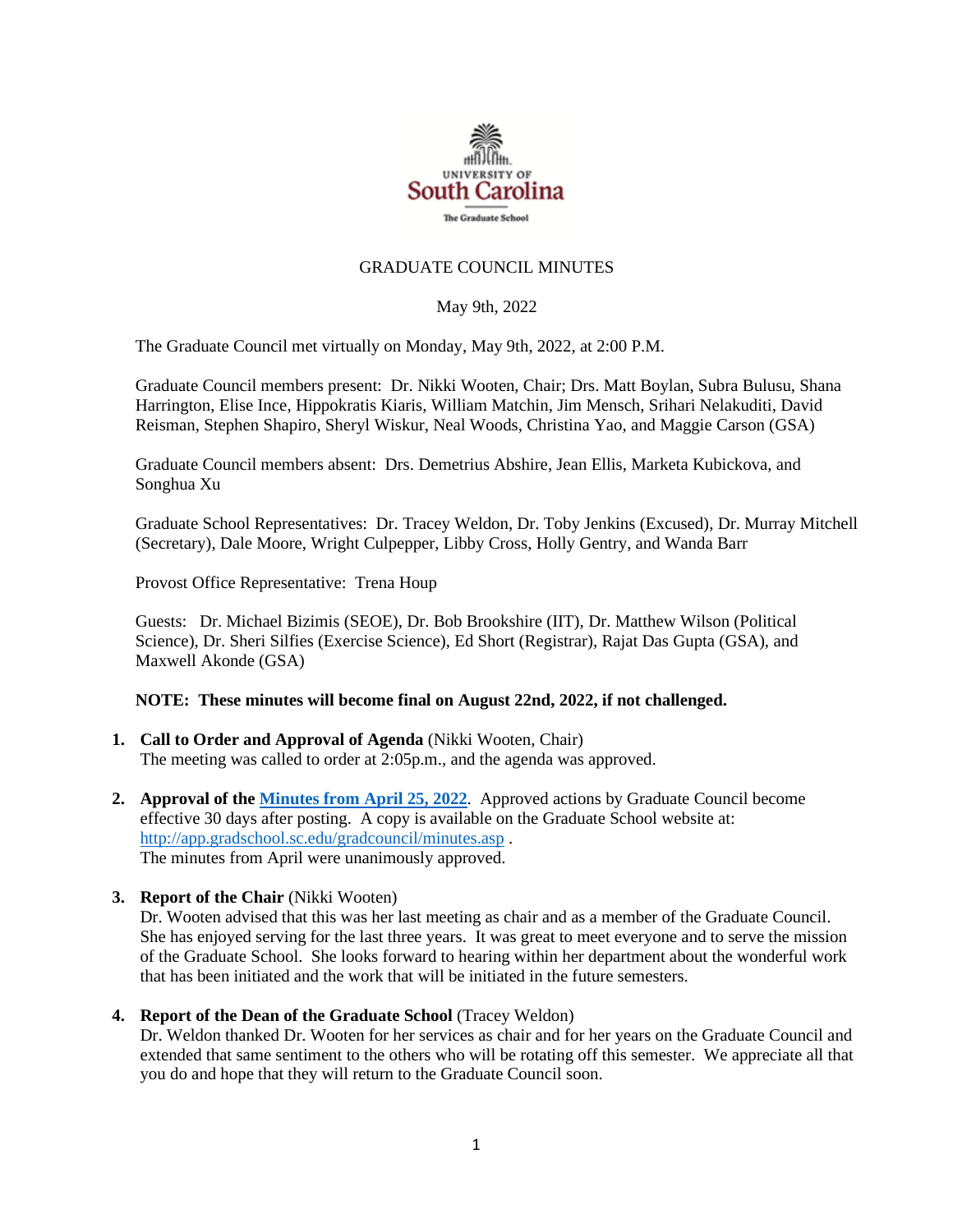

## GRADUATE COUNCIL MINUTES

#### May 9th, 2022

The Graduate Council met virtually on Monday, May 9th, 2022, at 2:00 P.M.

Graduate Council members present: Dr. Nikki Wooten, Chair; Drs. Matt Boylan, Subra Bulusu, Shana Harrington, Elise Ince, Hippokratis Kiaris, William Matchin, Jim Mensch, Srihari Nelakuditi, David Reisman, Stephen Shapiro, Sheryl Wiskur, Neal Woods, Christina Yao, and Maggie Carson (GSA)

Graduate Council members absent: Drs. Demetrius Abshire, Jean Ellis, Marketa Kubickova, and Songhua Xu

Graduate School Representatives: Dr. Tracey Weldon, Dr. Toby Jenkins (Excused), Dr. Murray Mitchell (Secretary), Dale Moore, Wright Culpepper, Libby Cross, Holly Gentry, and Wanda Barr

Provost Office Representative: Trena Houp

Guests: Dr. Michael Bizimis (SEOE), Dr. Bob Brookshire (IIT), Dr. Matthew Wilson (Political Science), Dr. Sheri Silfies (Exercise Science), Ed Short (Registrar), Rajat Das Gupta (GSA), and Maxwell Akonde (GSA)

#### **NOTE: These minutes will become final on August 22nd, 2022, if not challenged.**

- **1. Call to Order and Approval of Agenda** (Nikki Wooten, Chair) The meeting was called to order at 2:05p.m., and the agenda was approved.
- **2. Approval of th[e Minutes from April 25, 2022](file://///COSSLAOthello.ds.sc.edu/MIRROR/GRAD/WANDAB/Profile/Documents/GCMINUTES4.25.22%20mm.pdf)**. Approved actions by Graduate Council become effective 30 days after posting. A copy is available on the Graduate School website at: <http://app.gradschool.sc.edu/gradcouncil/minutes.asp> . The minutes from April were unanimously approved.
- **3. Report of the Chair** (Nikki Wooten)

Dr. Wooten advised that this was her last meeting as chair and as a member of the Graduate Council. She has enjoyed serving for the last three years. It was great to meet everyone and to serve the mission of the Graduate School. She looks forward to hearing within her department about the wonderful work that has been initiated and the work that will be initiated in the future semesters.

**4. Report of the Dean of the Graduate School** (Tracey Weldon)

Dr. Weldon thanked Dr. Wooten for her services as chair and for her years on the Graduate Council and extended that same sentiment to the others who will be rotating off this semester. We appreciate all that you do and hope that they will return to the Graduate Council soon.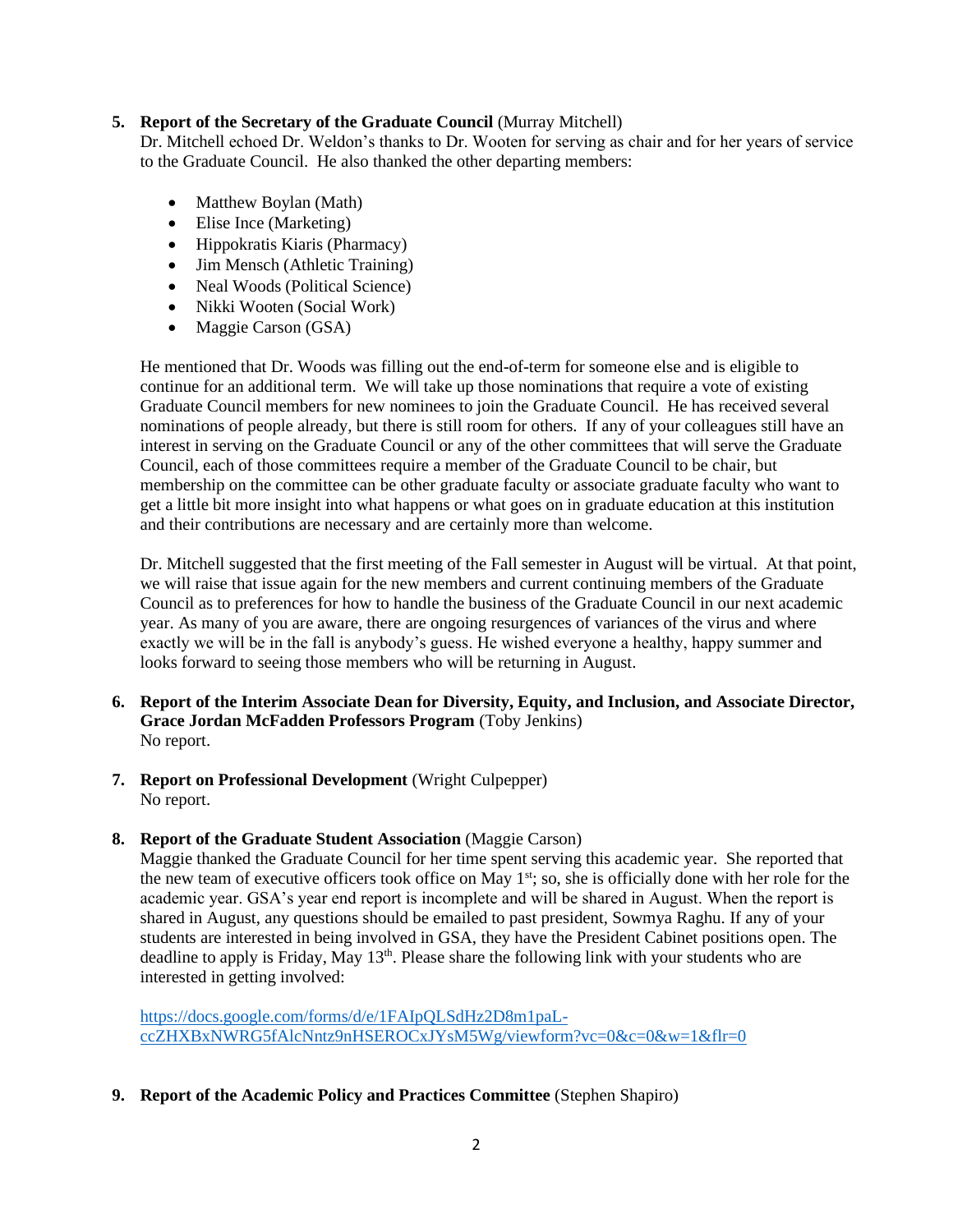## **5. Report of the Secretary of the Graduate Council** (Murray Mitchell)

Dr. Mitchell echoed Dr. Weldon's thanks to Dr. Wooten for serving as chair and for her years of service to the Graduate Council. He also thanked the other departing members:

- Matthew Boylan (Math)
- Elise Ince (Marketing)
- Hippokratis Kiaris (Pharmacy)
- Jim Mensch (Athletic Training)
- Neal Woods (Political Science)
- Nikki Wooten (Social Work)
- Maggie Carson (GSA)

He mentioned that Dr. Woods was filling out the end-of-term for someone else and is eligible to continue for an additional term. We will take up those nominations that require a vote of existing Graduate Council members for new nominees to join the Graduate Council. He has received several nominations of people already, but there is still room for others. If any of your colleagues still have an interest in serving on the Graduate Council or any of the other committees that will serve the Graduate Council, each of those committees require a member of the Graduate Council to be chair, but membership on the committee can be other graduate faculty or associate graduate faculty who want to get a little bit more insight into what happens or what goes on in graduate education at this institution and their contributions are necessary and are certainly more than welcome.

Dr. Mitchell suggested that the first meeting of the Fall semester in August will be virtual. At that point, we will raise that issue again for the new members and current continuing members of the Graduate Council as to preferences for how to handle the business of the Graduate Council in our next academic year. As many of you are aware, there are ongoing resurgences of variances of the virus and where exactly we will be in the fall is anybody's guess. He wished everyone a healthy, happy summer and looks forward to seeing those members who will be returning in August.

- **6. Report of the Interim Associate Dean for Diversity, Equity, and Inclusion, and Associate Director, Grace Jordan McFadden Professors Program** (Toby Jenkins) No report.
- **7. Report on Professional Development** (Wright Culpepper) No report.
- 8. **Report of the Graduate Student Association** (Maggie Carson)

Maggie thanked the Graduate Council for her time spent serving this academic year. She reported that the new team of executive officers took office on May 1<sup>st</sup>; so, she is officially done with her role for the academic year. GSA's year end report is incomplete and will be shared in August. When the report is shared in August, any questions should be emailed to past president, Sowmya Raghu. If any of your students are interested in being involved in GSA, they have the President Cabinet positions open. The deadline to apply is Friday, May 13<sup>th</sup>. Please share the following link with your students who are interested in getting involved:

[https://docs.google.com/forms/d/e/1FAIpQLSdHz2D8m1paL](https://docs.google.com/forms/d/e/1FAIpQLSdHz2D8m1paL-ccZHXBxNWRG5fAlcNntz9nHSEROCxJYsM5Wg/viewform?vc=0&c=0&w=1&flr=0)[ccZHXBxNWRG5fAlcNntz9nHSEROCxJYsM5Wg/viewform?vc=0&c=0&w=1&flr=0](https://docs.google.com/forms/d/e/1FAIpQLSdHz2D8m1paL-ccZHXBxNWRG5fAlcNntz9nHSEROCxJYsM5Wg/viewform?vc=0&c=0&w=1&flr=0)

**9. Report of the Academic Policy and Practices Committee** (Stephen Shapiro)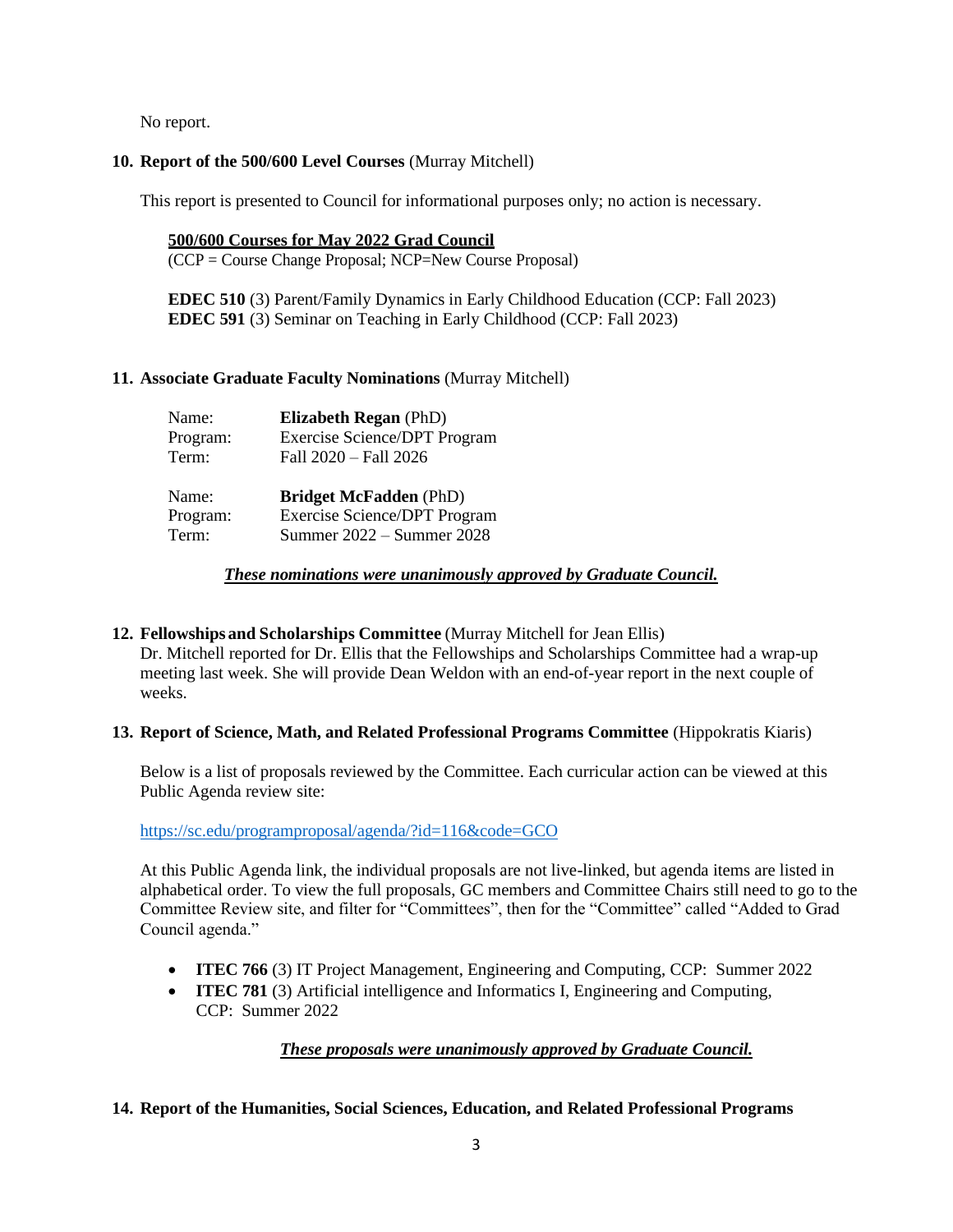No report.

## **10. Report of the 500/600 Level Courses** (Murray Mitchell)

This report is presented to Council for informational purposes only; no action is necessary.

**500/600 Courses for May 2022 Grad Council** (CCP = Course Change Proposal; NCP=New Course Proposal)

**EDEC 510** (3) Parent/Family Dynamics in Early Childhood Education (CCP: Fall 2023) **EDEC 591** (3) Seminar on Teaching in Early Childhood (CCP: Fall 2023)

## **11. Associate Graduate Faculty Nominations** (Murray Mitchell)

| Name:    | <b>Elizabeth Regan (PhD)</b>        |
|----------|-------------------------------------|
| Program: | <b>Exercise Science/DPT Program</b> |
| Term:    | Fall 2020 - Fall 2026               |
|          |                                     |
| Name:    | <b>Bridget McFadden</b> (PhD)       |
| Program: | <b>Exercise Science/DPT Program</b> |

*These nominations were unanimously approved by Graduate Council.*

## **12. Fellowships and Scholarships Committee** (Murray Mitchell for Jean Ellis)

Dr. Mitchell reported for Dr. Ellis that the Fellowships and Scholarships Committee had a wrap-up meeting last week. She will provide Dean Weldon with an end-of-year report in the next couple of weeks.

## **13. Report of Science, Math, and Related Professional Programs Committee** (Hippokratis Kiaris)

Below is a list of proposals reviewed by the Committee. Each curricular action can be viewed at this Public Agenda review site:

<https://sc.edu/programproposal/agenda/?id=116&code=GCO>

At this Public Agenda link, the individual proposals are not live-linked, but agenda items are listed in alphabetical order. To view the full proposals, GC members and Committee Chairs still need to go to the Committee Review site, and filter for "Committees", then for the "Committee" called "Added to Grad Council agenda."

- **ITEC 766** (3) IT Project Management, Engineering and Computing, CCP: Summer 2022
- **ITEC 781** (3) Artificial intelligence and Informatics I, Engineering and Computing, CCP: Summer 2022

# *These proposals were unanimously approved by Graduate Council.*

# **14. Report of the Humanities, Social Sciences, Education, and Related Professional Programs**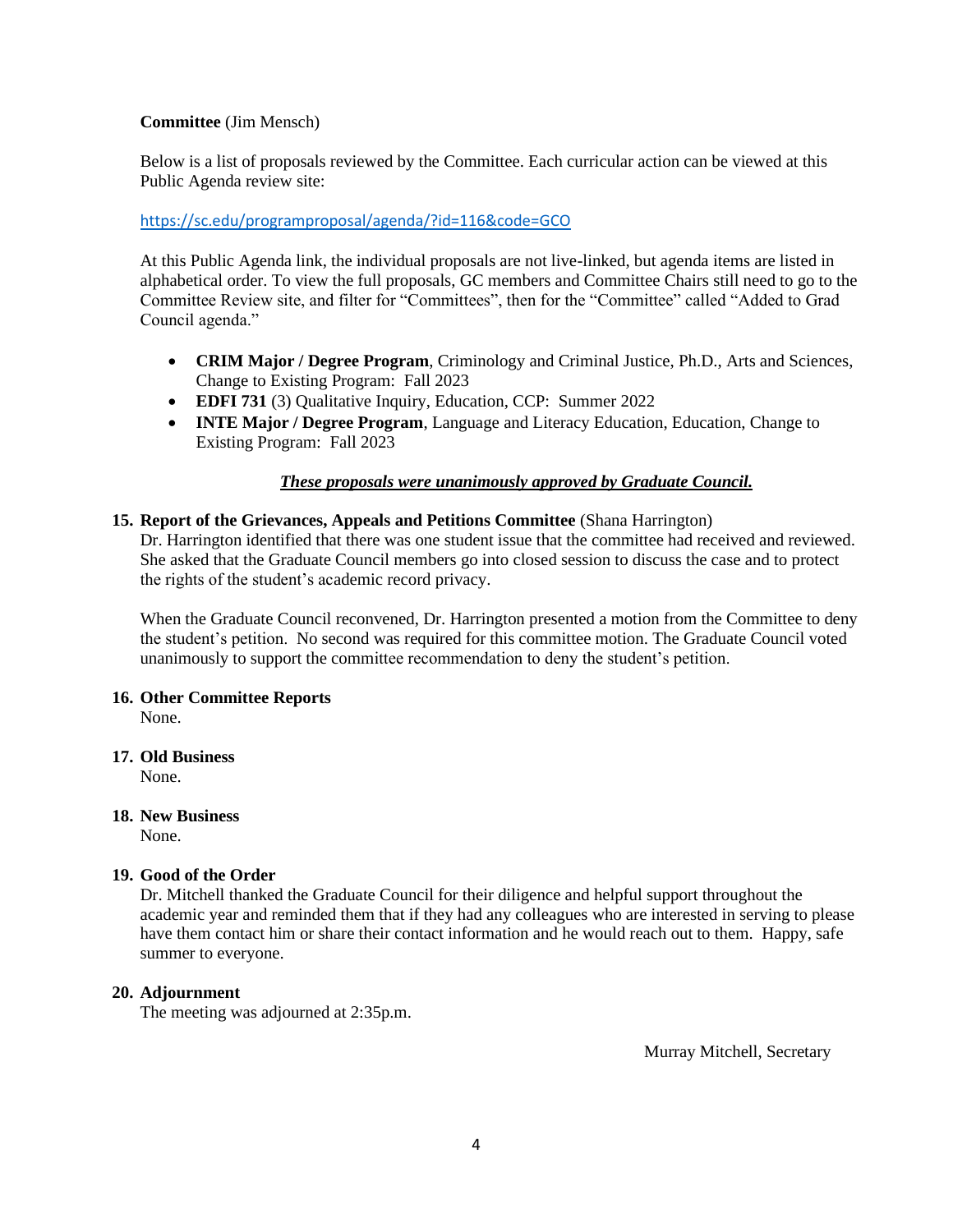## **Committee** (Jim Mensch)

Below is a list of proposals reviewed by the Committee. Each curricular action can be viewed at this Public Agenda review site:

## <https://sc.edu/programproposal/agenda/?id=116&code=GCO>

At this Public Agenda link, the individual proposals are not live-linked, but agenda items are listed in alphabetical order. To view the full proposals, GC members and Committee Chairs still need to go to the Committee Review site, and filter for "Committees", then for the "Committee" called "Added to Grad Council agenda."

- **CRIM Major / Degree Program**, Criminology and Criminal Justice, Ph.D., Arts and Sciences, Change to Existing Program: Fall 2023
- **EDFI 731** (3) Qualitative Inquiry, Education, CCP: Summer 2022
- **INTE Major / Degree Program**, Language and Literacy Education, Education, Change to Existing Program: Fall 2023

### *These proposals were unanimously approved by Graduate Council.*

### **15. Report of the Grievances, Appeals and Petitions Committee** (Shana Harrington)

Dr. Harrington identified that there was one student issue that the committee had received and reviewed. She asked that the Graduate Council members go into closed session to discuss the case and to protect the rights of the student's academic record privacy.

When the Graduate Council reconvened, Dr. Harrington presented a motion from the Committee to deny the student's petition. No second was required for this committee motion. The Graduate Council voted unanimously to support the committee recommendation to deny the student's petition.

#### **16. Other Committee Reports**

None.

#### **17. Old Business**

None.

#### **18. New Business**

None.

#### **19. Good of the Order**

Dr. Mitchell thanked the Graduate Council for their diligence and helpful support throughout the academic year and reminded them that if they had any colleagues who are interested in serving to please have them contact him or share their contact information and he would reach out to them. Happy, safe summer to everyone.

#### **20. Adjournment**

The meeting was adjourned at 2:35p.m.

Murray Mitchell, Secretary